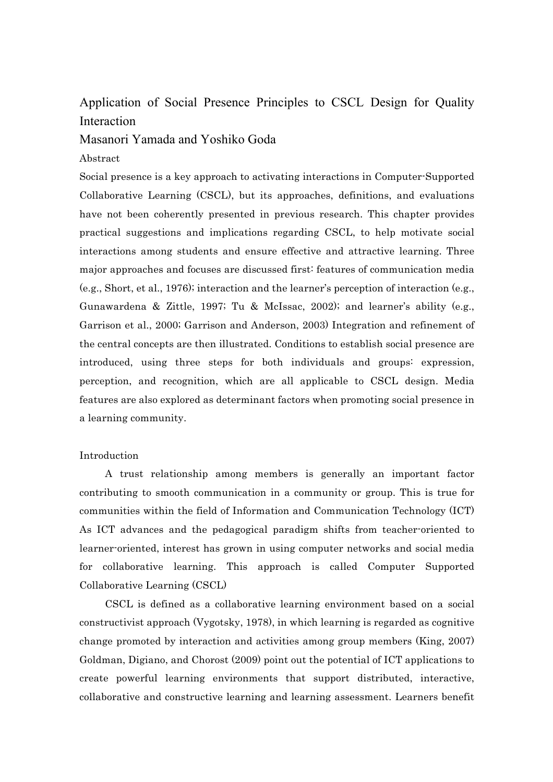# Application of Social Presence Principles to CSCL Design for Quality Interaction

# Masanori Yamada and Yoshiko Goda

### Abstract

Social presence is a key approach to activating interactions in Computer-Supported Collaborative Learning (CSCL), but its approaches, definitions, and evaluations have not been coherently presented in previous research. This chapter provides practical suggestions and implications regarding CSCL, to help motivate social interactions among students and ensure effective and attractive learning. Three major approaches and focuses are discussed first: features of communication media (e.g., Short, et al., 1976); interaction and the learner's perception of interaction (e.g., Gunawardena & Zittle, 1997; Tu & McIssac, 2002); and learner's ability (e.g., Garrison et al., 2000; Garrison and Anderson, 2003) Integration and refinement of the central concepts are then illustrated. Conditions to establish social presence are introduced, using three steps for both individuals and groups: expression, perception, and recognition, which are all applicable to CSCL design. Media features are also explored as determinant factors when promoting social presence in a learning community.

#### Introduction

A trust relationship among members is generally an important factor contributing to smooth communication in a community or group. This is true for communities within the field of Information and Communication Technology (ICT) As ICT advances and the pedagogical paradigm shifts from teacher-oriented to learner-oriented, interest has grown in using computer networks and social media for collaborative learning. This approach is called Computer Supported Collaborative Learning (CSCL)

CSCL is defined as a collaborative learning environment based on a social constructivist approach (Vygotsky, 1978), in which learning is regarded as cognitive change promoted by interaction and activities among group members (King, 2007) Goldman, Digiano, and Chorost (2009) point out the potential of ICT applications to create powerful learning environments that support distributed, interactive, collaborative and constructive learning and learning assessment. Learners benefit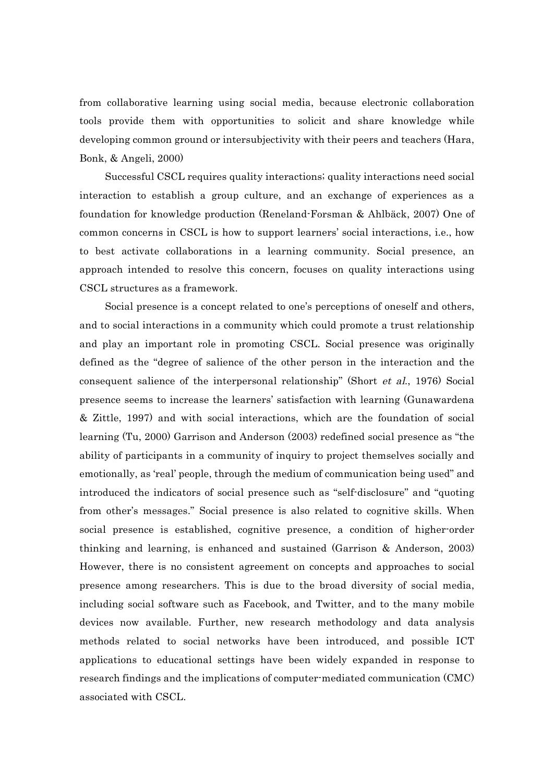from collaborative learning using social media, because electronic collaboration tools provide them with opportunities to solicit and share knowledge while developing common ground or intersubjectivity with their peers and teachers (Hara, Bonk, & Angeli, 2000)

Successful CSCL requires quality interactions; quality interactions need social interaction to establish a group culture, and an exchange of experiences as a foundation for knowledge production (Reneland-Forsman & Ahlbäck, 2007) One of common concerns in CSCL is how to support learners' social interactions, i.e., how to best activate collaborations in a learning community. Social presence, an approach intended to resolve this concern, focuses on quality interactions using CSCL structures as a framework.

Social presence is a concept related to one's perceptions of oneself and others, and to social interactions in a community which could promote a trust relationship and play an important role in promoting CSCL. Social presence was originally defined as the "degree of salience of the other person in the interaction and the consequent salience of the interpersonal relationship" (Short et al., 1976) Social presence seems to increase the learners' satisfaction with learning (Gunawardena & Zittle, 1997) and with social interactions, which are the foundation of social learning (Tu, 2000) Garrison and Anderson (2003) redefined social presence as "the ability of participants in a community of inquiry to project themselves socially and emotionally, as 'real' people, through the medium of communication being used" and introduced the indicators of social presence such as "self-disclosure" and "quoting from other's messages." Social presence is also related to cognitive skills. When social presence is established, cognitive presence, a condition of higher-order thinking and learning, is enhanced and sustained (Garrison & Anderson, 2003) However, there is no consistent agreement on concepts and approaches to social presence among researchers. This is due to the broad diversity of social media, including social software such as Facebook, and Twitter, and to the many mobile devices now available. Further, new research methodology and data analysis methods related to social networks have been introduced, and possible ICT applications to educational settings have been widely expanded in response to research findings and the implications of computer-mediated communication (CMC) associated with CSCL.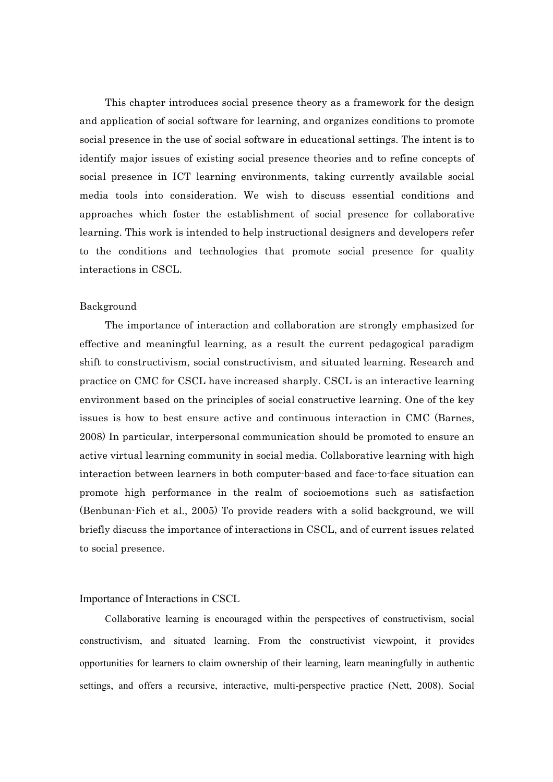This chapter introduces social presence theory as a framework for the design and application of social software for learning, and organizes conditions to promote social presence in the use of social software in educational settings. The intent is to identify major issues of existing social presence theories and to refine concepts of social presence in ICT learning environments, taking currently available social media tools into consideration. We wish to discuss essential conditions and approaches which foster the establishment of social presence for collaborative learning. This work is intended to help instructional designers and developers refer to the conditions and technologies that promote social presence for quality interactions in CSCL.

#### Background

The importance of interaction and collaboration are strongly emphasized for effective and meaningful learning, as a result the current pedagogical paradigm shift to constructivism, social constructivism, and situated learning. Research and practice on CMC for CSCL have increased sharply. CSCL is an interactive learning environment based on the principles of social constructive learning. One of the key issues is how to best ensure active and continuous interaction in CMC (Barnes, 2008) In particular, interpersonal communication should be promoted to ensure an active virtual learning community in social media. Collaborative learning with high interaction between learners in both computer-based and face-to-face situation can promote high performance in the realm of socioemotions such as satisfaction (Benbunan-Fich et al., 2005) To provide readers with a solid background, we will briefly discuss the importance of interactions in CSCL, and of current issues related to social presence.

#### Importance of Interactions in CSCL

Collaborative learning is encouraged within the perspectives of constructivism, social constructivism, and situated learning. From the constructivist viewpoint, it provides opportunities for learners to claim ownership of their learning, learn meaningfully in authentic settings, and offers a recursive, interactive, multi-perspective practice (Nett, 2008). Social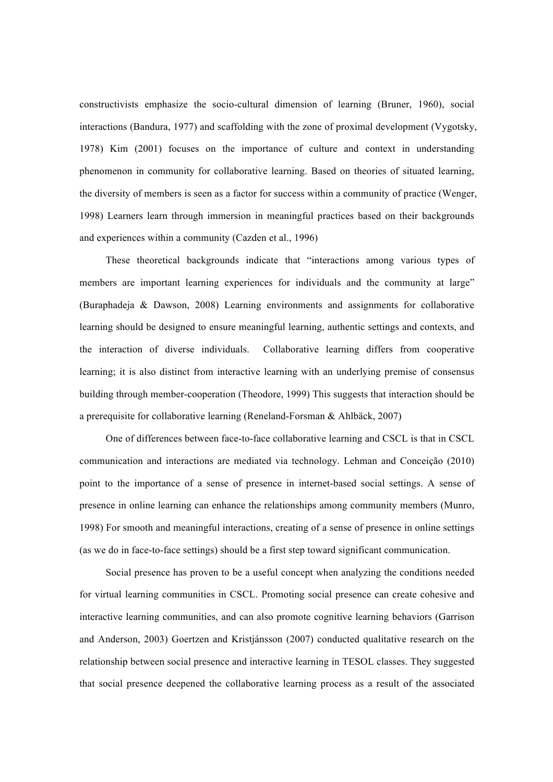constructivists emphasize the socio-cultural dimension of learning (Bruner, 1960), social interactions (Bandura, 1977) and scaffolding with the zone of proximal development (Vygotsky, 1978) Kim (2001) focuses on the importance of culture and context in understanding phenomenon in community for collaborative learning. Based on theories of situated learning, the diversity of members is seen as a factor for success within a community of practice (Wenger, 1998) Learners learn through immersion in meaningful practices based on their backgrounds and experiences within a community (Cazden et al., 1996)

These theoretical backgrounds indicate that "interactions among various types of members are important learning experiences for individuals and the community at large" (Buraphadeja & Dawson, 2008) Learning environments and assignments for collaborative learning should be designed to ensure meaningful learning, authentic settings and contexts, and the interaction of diverse individuals. Collaborative learning differs from cooperative learning; it is also distinct from interactive learning with an underlying premise of consensus building through member-cooperation (Theodore, 1999) This suggests that interaction should be a prerequisite for collaborative learning (Reneland-Forsman & Ahlbäck, 2007)

One of differences between face-to-face collaborative learning and CSCL is that in CSCL communication and interactions are mediated via technology. Lehman and Conceição (2010) point to the importance of a sense of presence in internet-based social settings. A sense of presence in online learning can enhance the relationships among community members (Munro, 1998) For smooth and meaningful interactions, creating of a sense of presence in online settings (as we do in face-to-face settings) should be a first step toward significant communication.

Social presence has proven to be a useful concept when analyzing the conditions needed for virtual learning communities in CSCL. Promoting social presence can create cohesive and interactive learning communities, and can also promote cognitive learning behaviors (Garrison and Anderson, 2003) Goertzen and Kristjánsson (2007) conducted qualitative research on the relationship between social presence and interactive learning in TESOL classes. They suggested that social presence deepened the collaborative learning process as a result of the associated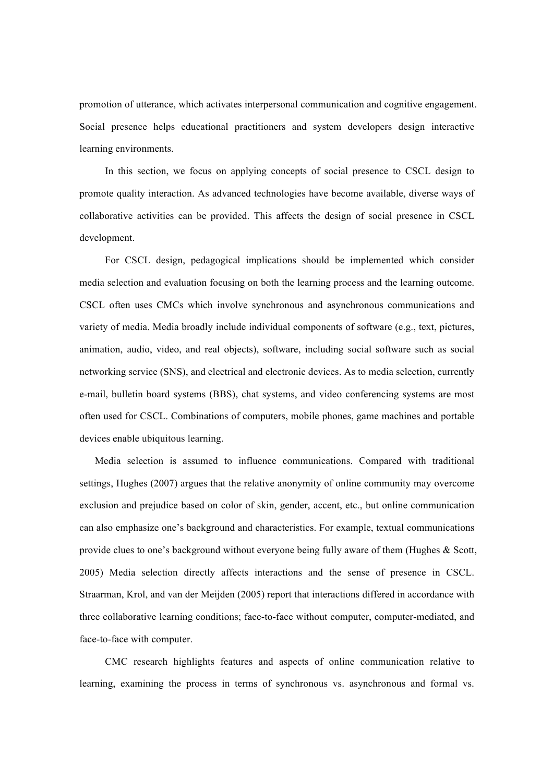promotion of utterance, which activates interpersonal communication and cognitive engagement. Social presence helps educational practitioners and system developers design interactive learning environments.

In this section, we focus on applying concepts of social presence to CSCL design to promote quality interaction. As advanced technologies have become available, diverse ways of collaborative activities can be provided. This affects the design of social presence in CSCL development.

For CSCL design, pedagogical implications should be implemented which consider media selection and evaluation focusing on both the learning process and the learning outcome. CSCL often uses CMCs which involve synchronous and asynchronous communications and variety of media. Media broadly include individual components of software (e.g., text, pictures, animation, audio, video, and real objects), software, including social software such as social networking service (SNS), and electrical and electronic devices. As to media selection, currently e-mail, bulletin board systems (BBS), chat systems, and video conferencing systems are most often used for CSCL. Combinations of computers, mobile phones, game machines and portable devices enable ubiquitous learning.

Media selection is assumed to influence communications. Compared with traditional settings, Hughes (2007) argues that the relative anonymity of online community may overcome exclusion and prejudice based on color of skin, gender, accent, etc., but online communication can also emphasize one's background and characteristics. For example, textual communications provide clues to one's background without everyone being fully aware of them (Hughes & Scott, 2005) Media selection directly affects interactions and the sense of presence in CSCL. Straarman, Krol, and van der Meijden (2005) report that interactions differed in accordance with three collaborative learning conditions; face-to-face without computer, computer-mediated, and face-to-face with computer.

 CMC research highlights features and aspects of online communication relative to learning, examining the process in terms of synchronous vs. asynchronous and formal vs.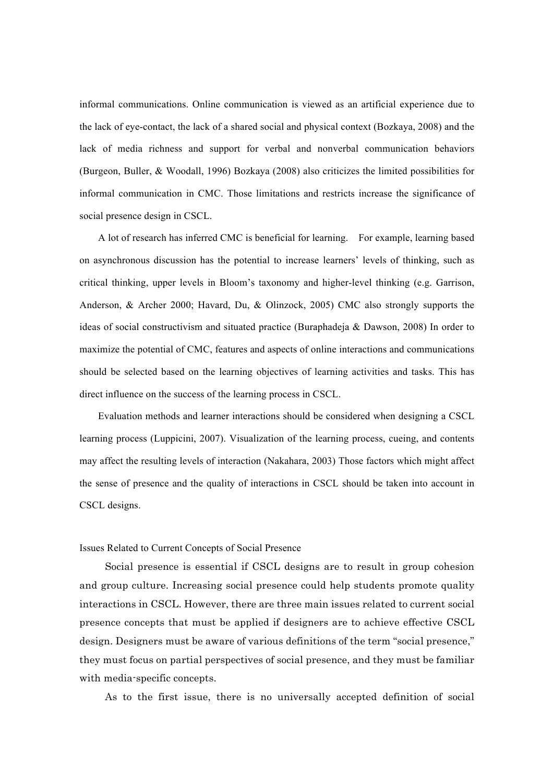informal communications. Online communication is viewed as an artificial experience due to the lack of eye-contact, the lack of a shared social and physical context (Bozkaya, 2008) and the lack of media richness and support for verbal and nonverbal communication behaviors (Burgeon, Buller, & Woodall, 1996) Bozkaya (2008) also criticizes the limited possibilities for informal communication in CMC. Those limitations and restricts increase the significance of social presence design in CSCL.

A lot of research has inferred CMC is beneficial for learning. For example, learning based on asynchronous discussion has the potential to increase learners' levels of thinking, such as critical thinking, upper levels in Bloom's taxonomy and higher-level thinking (e.g. Garrison, Anderson, & Archer 2000; Havard, Du, & Olinzock, 2005) CMC also strongly supports the ideas of social constructivism and situated practice (Buraphadeja & Dawson, 2008) In order to maximize the potential of CMC, features and aspects of online interactions and communications should be selected based on the learning objectives of learning activities and tasks. This has direct influence on the success of the learning process in CSCL.

Evaluation methods and learner interactions should be considered when designing a CSCL learning process (Luppicini, 2007). Visualization of the learning process, cueing, and contents may affect the resulting levels of interaction (Nakahara, 2003) Those factors which might affect the sense of presence and the quality of interactions in CSCL should be taken into account in CSCL designs.

#### Issues Related to Current Concepts of Social Presence

Social presence is essential if CSCL designs are to result in group cohesion and group culture. Increasing social presence could help students promote quality interactions in CSCL. However, there are three main issues related to current social presence concepts that must be applied if designers are to achieve effective CSCL design. Designers must be aware of various definitions of the term "social presence," they must focus on partial perspectives of social presence, and they must be familiar with media-specific concepts.

As to the first issue, there is no universally accepted definition of social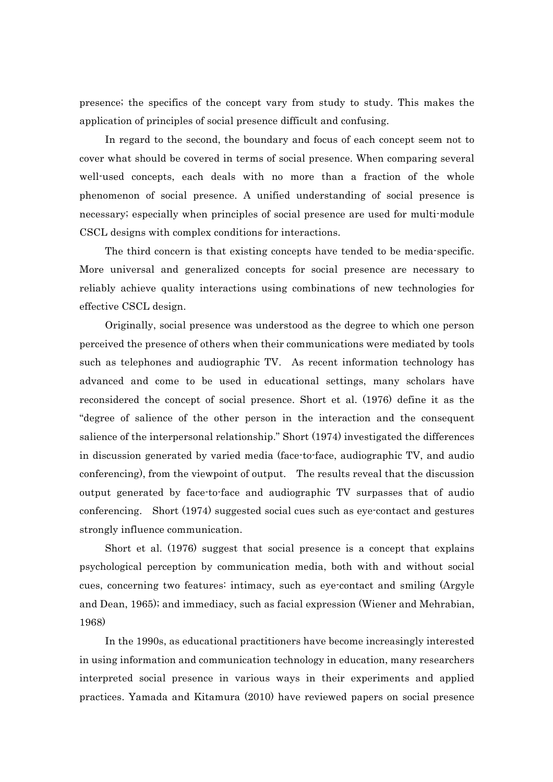presence; the specifics of the concept vary from study to study. This makes the application of principles of social presence difficult and confusing.

In regard to the second, the boundary and focus of each concept seem not to cover what should be covered in terms of social presence. When comparing several well-used concepts, each deals with no more than a fraction of the whole phenomenon of social presence. A unified understanding of social presence is necessary; especially when principles of social presence are used for multi-module CSCL designs with complex conditions for interactions.

The third concern is that existing concepts have tended to be media-specific. More universal and generalized concepts for social presence are necessary to reliably achieve quality interactions using combinations of new technologies for effective CSCL design.

Originally, social presence was understood as the degree to which one person perceived the presence of others when their communications were mediated by tools such as telephones and audiographic TV. As recent information technology has advanced and come to be used in educational settings, many scholars have reconsidered the concept of social presence. Short et al. (1976) define it as the "degree of salience of the other person in the interaction and the consequent salience of the interpersonal relationship." Short (1974) investigated the differences in discussion generated by varied media (face-to-face, audiographic TV, and audio conferencing), from the viewpoint of output. The results reveal that the discussion output generated by face-to-face and audiographic TV surpasses that of audio conferencing. Short (1974) suggested social cues such as eye-contact and gestures strongly influence communication.

Short et al. (1976) suggest that social presence is a concept that explains psychological perception by communication media, both with and without social cues, concerning two features: intimacy, such as eye-contact and smiling (Argyle and Dean, 1965); and immediacy, such as facial expression (Wiener and Mehrabian, 1968)

In the 1990s, as educational practitioners have become increasingly interested in using information and communication technology in education, many researchers interpreted social presence in various ways in their experiments and applied practices. Yamada and Kitamura (2010) have reviewed papers on social presence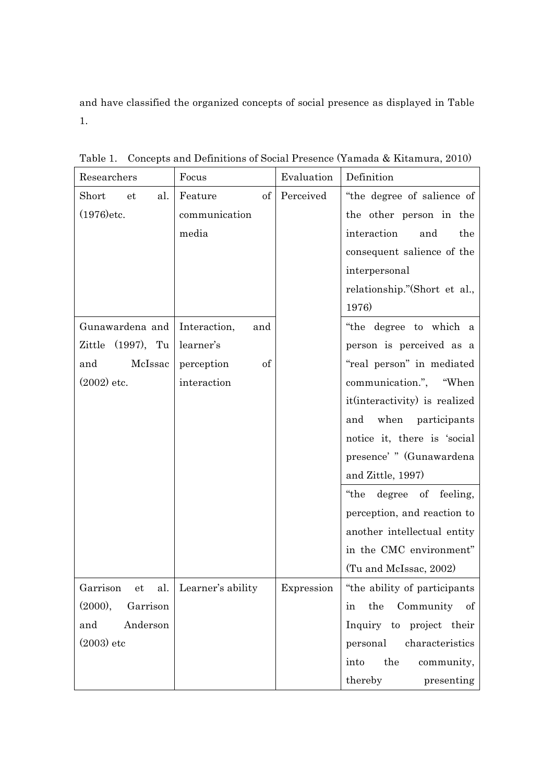and have classified the organized concepts of social presence as displayed in Table 1.

| Researchers                    | Focus                                                                                                         | Evaluation | Definition                    |
|--------------------------------|---------------------------------------------------------------------------------------------------------------|------------|-------------------------------|
| Short<br>al.<br>et             | $% \left( \left( \mathcal{A},\mathcal{A}\right) \right) =\left( \mathcal{A},\mathcal{A}\right)$ of<br>Feature | Perceived  | "the degree of salience of    |
| $(1976)$ etc.                  | communication                                                                                                 |            | the other person in the       |
|                                | media                                                                                                         |            | interaction<br>and<br>the     |
|                                |                                                                                                               |            | consequent salience of the    |
|                                |                                                                                                               |            | interpersonal                 |
|                                |                                                                                                               |            | relationship."(Short et al.,  |
|                                |                                                                                                               |            | 1976)                         |
| Gunawardena and   Interaction, | and                                                                                                           |            | "the degree to which a        |
| Zittle (1997), Tu              | learner's                                                                                                     |            | person is perceived as a      |
| McIssac<br>and                 | perception<br>of                                                                                              |            | "real person" in mediated     |
| $(2002)$ etc.                  | interaction                                                                                                   |            | communication.", "When        |
|                                |                                                                                                               |            | it(interactivity) is realized |
|                                |                                                                                                               |            | and when participants         |
|                                |                                                                                                               |            | notice it, there is 'social   |
|                                |                                                                                                               |            | presence' " (Gunawardena      |
|                                |                                                                                                               |            | and Zittle, 1997)             |
|                                |                                                                                                               |            | degree of feeling,<br>"the    |
|                                |                                                                                                               |            | perception, and reaction to   |
|                                |                                                                                                               |            | another intellectual entity   |
|                                |                                                                                                               |            | in the CMC environment"       |
|                                |                                                                                                               |            | (Tu and McIssac, 2002)        |
| Garrison et<br>al.             | Learner's ability                                                                                             | Expression | "the ability of participants" |
| (2000),<br>Garrison            |                                                                                                               |            | the<br>Community of<br>in     |
| Anderson<br>and                |                                                                                                               |            | Inquiry to project their      |
| $(2003)$ etc                   |                                                                                                               |            | characteristics<br>personal   |
|                                |                                                                                                               |            | the<br>into<br>community,     |
|                                |                                                                                                               |            | thereby<br>presenting         |

Table 1. Concepts and Definitions of Social Presence (Yamada & Kitamura, 2010)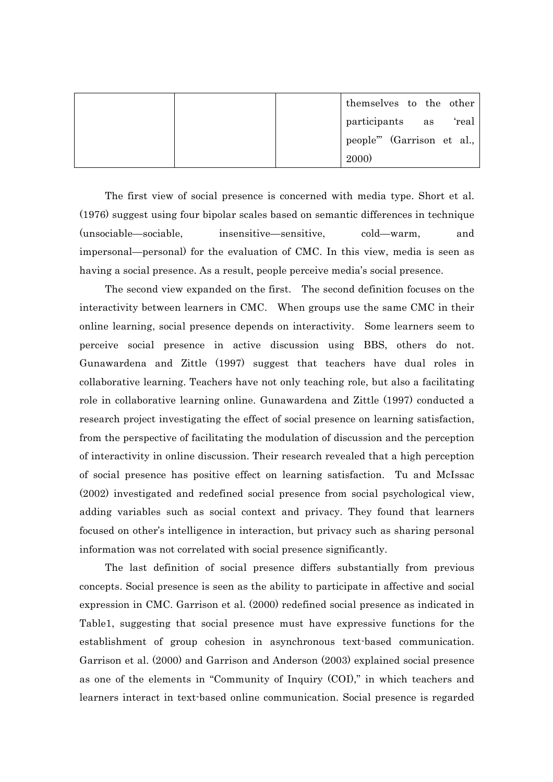|  |             | themselves to the other   |       |
|--|-------------|---------------------------|-------|
|  |             | participants as           | 'real |
|  |             | people" (Garrison et al., |       |
|  | <b>2000</b> |                           |       |

The first view of social presence is concerned with media type. Short et al. (1976) suggest using four bipolar scales based on semantic differences in technique (unsociable—sociable, insensitive—sensitive, cold—warm, and impersonal—personal) for the evaluation of CMC. In this view, media is seen as having a social presence. As a result, people perceive media's social presence.

The second view expanded on the first. The second definition focuses on the interactivity between learners in CMC. When groups use the same CMC in their online learning, social presence depends on interactivity. Some learners seem to perceive social presence in active discussion using BBS, others do not. Gunawardena and Zittle (1997) suggest that teachers have dual roles in collaborative learning. Teachers have not only teaching role, but also a facilitating role in collaborative learning online. Gunawardena and Zittle (1997) conducted a research project investigating the effect of social presence on learning satisfaction, from the perspective of facilitating the modulation of discussion and the perception of interactivity in online discussion. Their research revealed that a high perception of social presence has positive effect on learning satisfaction. Tu and McIssac (2002) investigated and redefined social presence from social psychological view, adding variables such as social context and privacy. They found that learners focused on other's intelligence in interaction, but privacy such as sharing personal information was not correlated with social presence significantly.

The last definition of social presence differs substantially from previous concepts. Social presence is seen as the ability to participate in affective and social expression in CMC. Garrison et al. (2000) redefined social presence as indicated in Table1, suggesting that social presence must have expressive functions for the establishment of group cohesion in asynchronous text-based communication. Garrison et al. (2000) and Garrison and Anderson (2003) explained social presence as one of the elements in "Community of Inquiry (COI)," in which teachers and learners interact in text-based online communication. Social presence is regarded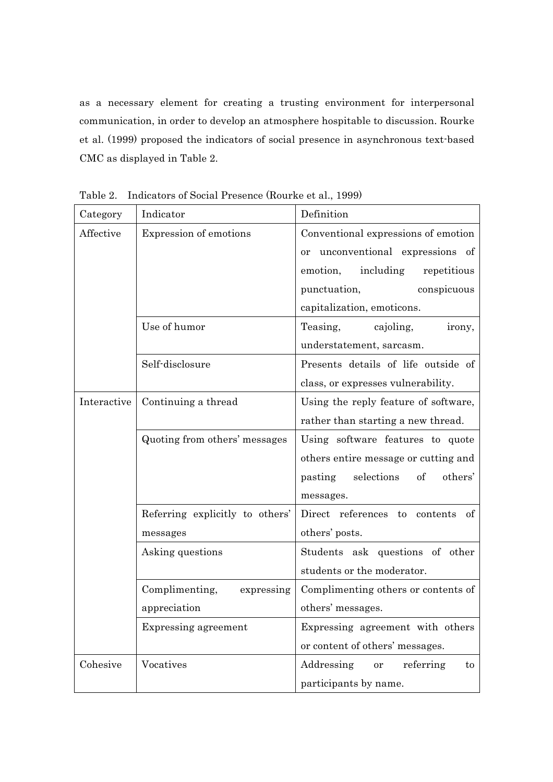as a necessary element for creating a trusting environment for interpersonal communication, in order to develop an atmosphere hospitable to discussion. Rourke et al. (1999) proposed the indicators of social presence in asynchronous text-based CMC as displayed in Table 2.

| Category    | Indicator                       | Definition                             |
|-------------|---------------------------------|----------------------------------------|
| Affective   | Expression of emotions          | Conventional expressions of emotion    |
|             |                                 | or unconventional expressions of       |
|             |                                 | including<br>emotion,<br>repetitious   |
|             |                                 | punctuation,<br>conspicuous            |
|             |                                 | capitalization, emoticons.             |
|             | Use of humor                    | Teasing,<br>cajoling,<br>irony,        |
|             |                                 | understatement, sarcasm.               |
|             | Self-disclosure                 | Presents details of life outside of    |
|             |                                 | class, or expresses vulnerability.     |
| Interactive | Continuing a thread             | Using the reply feature of software,   |
|             |                                 | rather than starting a new thread.     |
|             | Quoting from others' messages   | Using software features to quote       |
|             |                                 | others entire message or cutting and   |
|             |                                 | selections<br>of<br>others'<br>pasting |
|             |                                 | messages.                              |
|             | Referring explicitly to others' | Direct references to contents<br>of    |
|             | messages                        | others' posts.                         |
|             | Asking questions                | Students ask questions of other        |
|             |                                 | students or the moderator.             |
|             | Complimenting,<br>expressing    | Complimenting others or contents of    |
|             | appreciation                    | others' messages.                      |
|             | Expressing agreement            | Expressing agreement with others       |
|             |                                 | or content of others' messages.        |
| Cohesive    | Vocatives                       | Addressing<br>referring<br>or<br>to    |
|             |                                 | participants by name.                  |

Table 2. Indicators of Social Presence (Rourke et al., 1999)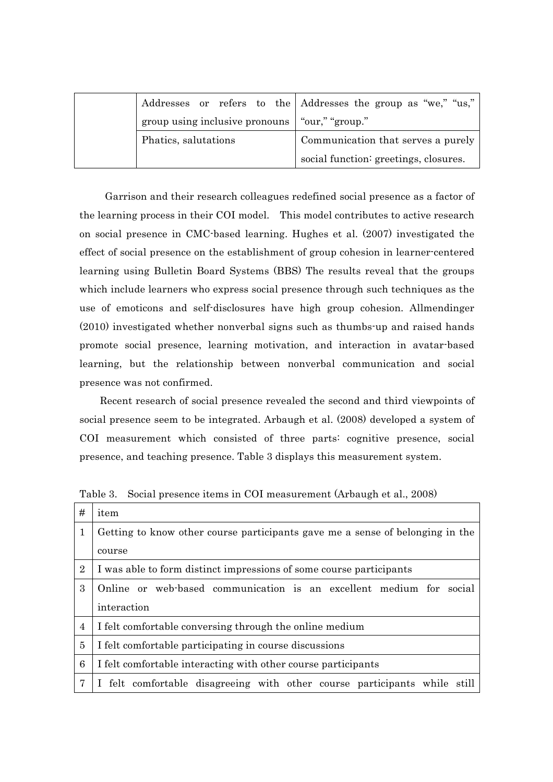|                                                  | Addresses or refers to the Addresses the group as "we," "us," |  |  |
|--------------------------------------------------|---------------------------------------------------------------|--|--|
| group using inclusive pronouns   "our," "group." |                                                               |  |  |
| Phatics, salutations                             | Communication that serves a purely                            |  |  |
|                                                  | social function: greetings, closures.                         |  |  |

Garrison and their research colleagues redefined social presence as a factor of the learning process in their COI model. This model contributes to active research on social presence in CMC-based learning. Hughes et al. (2007) investigated the effect of social presence on the establishment of group cohesion in learner-centered learning using Bulletin Board Systems (BBS) The results reveal that the groups which include learners who express social presence through such techniques as the use of emoticons and self-disclosures have high group cohesion. Allmendinger (2010) investigated whether nonverbal signs such as thumbs-up and raised hands promote social presence, learning motivation, and interaction in avatar-based learning, but the relationship between nonverbal communication and social presence was not confirmed.

 Recent research of social presence revealed the second and third viewpoints of social presence seem to be integrated. Arbaugh et al. (2008) developed a system of COI measurement which consisted of three parts: cognitive presence, social presence, and teaching presence. Table 3 displays this measurement system.

| #              | item                                                                          |  |  |  |  |  |
|----------------|-------------------------------------------------------------------------------|--|--|--|--|--|
| 1              | Getting to know other course participants gave me a sense of belonging in the |  |  |  |  |  |
|                | course                                                                        |  |  |  |  |  |
| $\overline{2}$ | I was able to form distinct impressions of some course participants           |  |  |  |  |  |
| 3              | Online or web-based communication is an excellent medium for social           |  |  |  |  |  |
|                | interaction                                                                   |  |  |  |  |  |
| $\overline{4}$ | I felt comfortable conversing through the online medium                       |  |  |  |  |  |
| 5              | I felt comfortable participating in course discussions                        |  |  |  |  |  |
| 6              | I felt comfortable interacting with other course participants                 |  |  |  |  |  |
| 7              | I felt comfortable disagreeing with other course participants while still     |  |  |  |  |  |

Table 3. Social presence items in COI measurement (Arbaugh et al., 2008)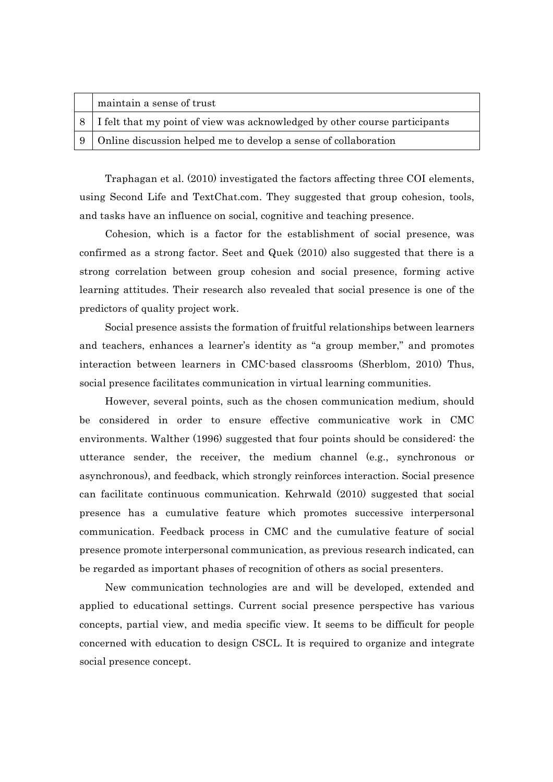| maintain a sense of trust                                                    |
|------------------------------------------------------------------------------|
| 8 I felt that my point of view was acknowledged by other course participants |
| 9 Online discussion helped me to develop a sense of collaboration            |

Traphagan et al. (2010) investigated the factors affecting three COI elements, using Second Life and TextChat.com. They suggested that group cohesion, tools, and tasks have an influence on social, cognitive and teaching presence.

Cohesion, which is a factor for the establishment of social presence, was confirmed as a strong factor. Seet and Quek (2010) also suggested that there is a strong correlation between group cohesion and social presence, forming active learning attitudes. Their research also revealed that social presence is one of the predictors of quality project work.

Social presence assists the formation of fruitful relationships between learners and teachers, enhances a learner's identity as "a group member," and promotes interaction between learners in CMC-based classrooms (Sherblom, 2010) Thus, social presence facilitates communication in virtual learning communities.

However, several points, such as the chosen communication medium, should be considered in order to ensure effective communicative work in CMC environments. Walther (1996) suggested that four points should be considered: the utterance sender, the receiver, the medium channel (e.g., synchronous or asynchronous), and feedback, which strongly reinforces interaction. Social presence can facilitate continuous communication. Kehrwald (2010) suggested that social presence has a cumulative feature which promotes successive interpersonal communication. Feedback process in CMC and the cumulative feature of social presence promote interpersonal communication, as previous research indicated, can be regarded as important phases of recognition of others as social presenters.

New communication technologies are and will be developed, extended and applied to educational settings. Current social presence perspective has various concepts, partial view, and media specific view. It seems to be difficult for people concerned with education to design CSCL. It is required to organize and integrate social presence concept.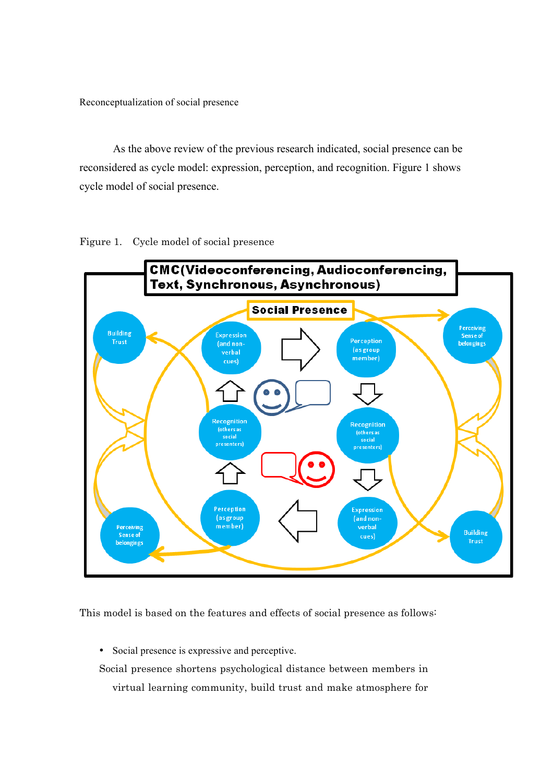Reconceptualization of social presence

As the above review of the previous research indicated, social presence can be reconsidered as cycle model: expression, perception, and recognition. Figure 1 shows cycle model of social presence.

Figure 1. Cycle model of social presence



This model is based on the features and effects of social presence as follows:

• Social presence is expressive and perceptive.

Social presence shortens psychological distance between members in virtual learning community, build trust and make atmosphere for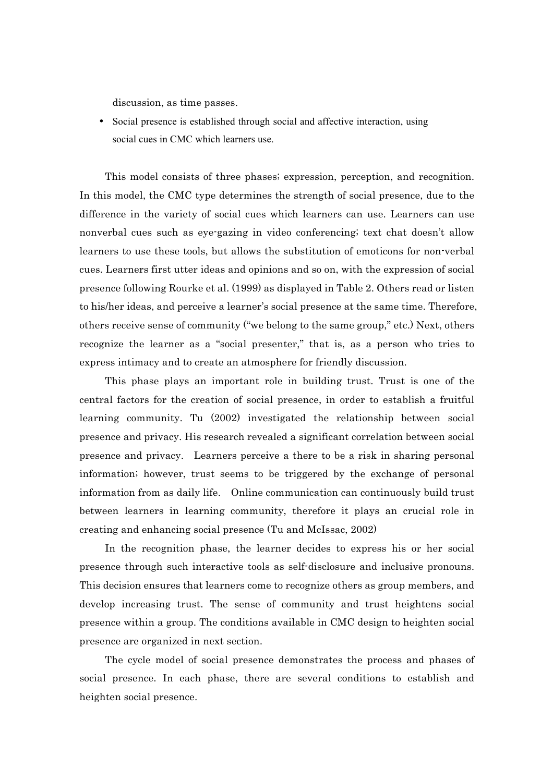discussion, as time passes.

• Social presence is established through social and affective interaction, using social cues in CMC which learners use.

This model consists of three phases; expression, perception, and recognition. In this model, the CMC type determines the strength of social presence, due to the difference in the variety of social cues which learners can use. Learners can use nonverbal cues such as eye-gazing in video conferencing; text chat doesn't allow learners to use these tools, but allows the substitution of emoticons for non-verbal cues. Learners first utter ideas and opinions and so on, with the expression of social presence following Rourke et al. (1999) as displayed in Table 2. Others read or listen to his/her ideas, and perceive a learner's social presence at the same time. Therefore, others receive sense of community ("we belong to the same group," etc.) Next, others recognize the learner as a "social presenter," that is, as a person who tries to express intimacy and to create an atmosphere for friendly discussion.

This phase plays an important role in building trust. Trust is one of the central factors for the creation of social presence, in order to establish a fruitful learning community. Tu (2002) investigated the relationship between social presence and privacy. His research revealed a significant correlation between social presence and privacy. Learners perceive a there to be a risk in sharing personal information; however, trust seems to be triggered by the exchange of personal information from as daily life. Online communication can continuously build trust between learners in learning community, therefore it plays an crucial role in creating and enhancing social presence (Tu and McIssac, 2002)

In the recognition phase, the learner decides to express his or her social presence through such interactive tools as self-disclosure and inclusive pronouns. This decision ensures that learners come to recognize others as group members, and develop increasing trust. The sense of community and trust heightens social presence within a group. The conditions available in CMC design to heighten social presence are organized in next section.

The cycle model of social presence demonstrates the process and phases of social presence. In each phase, there are several conditions to establish and heighten social presence.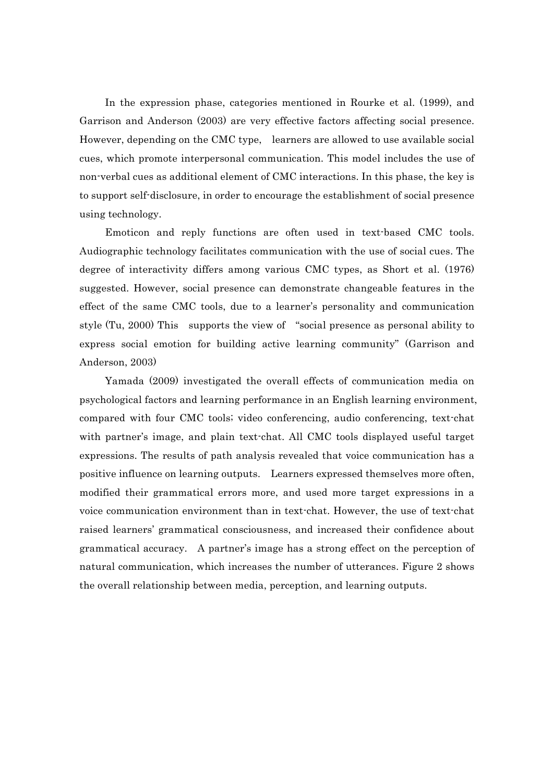In the expression phase, categories mentioned in Rourke et al. (1999), and Garrison and Anderson (2003) are very effective factors affecting social presence. However, depending on the CMC type, learners are allowed to use available social cues, which promote interpersonal communication. This model includes the use of non-verbal cues as additional element of CMC interactions. In this phase, the key is to support self-disclosure, in order to encourage the establishment of social presence using technology.

Emoticon and reply functions are often used in text-based CMC tools. Audiographic technology facilitates communication with the use of social cues. The degree of interactivity differs among various CMC types, as Short et al. (1976) suggested. However, social presence can demonstrate changeable features in the effect of the same CMC tools, due to a learner's personality and communication style (Tu, 2000) This supports the view of "social presence as personal ability to express social emotion for building active learning community" (Garrison and Anderson, 2003)

Yamada (2009) investigated the overall effects of communication media on psychological factors and learning performance in an English learning environment, compared with four CMC tools; video conferencing, audio conferencing, text-chat with partner's image, and plain text-chat. All CMC tools displayed useful target expressions. The results of path analysis revealed that voice communication has a positive influence on learning outputs. Learners expressed themselves more often, modified their grammatical errors more, and used more target expressions in a voice communication environment than in text-chat. However, the use of text-chat raised learners' grammatical consciousness, and increased their confidence about grammatical accuracy. A partner's image has a strong effect on the perception of natural communication, which increases the number of utterances. Figure 2 shows the overall relationship between media, perception, and learning outputs.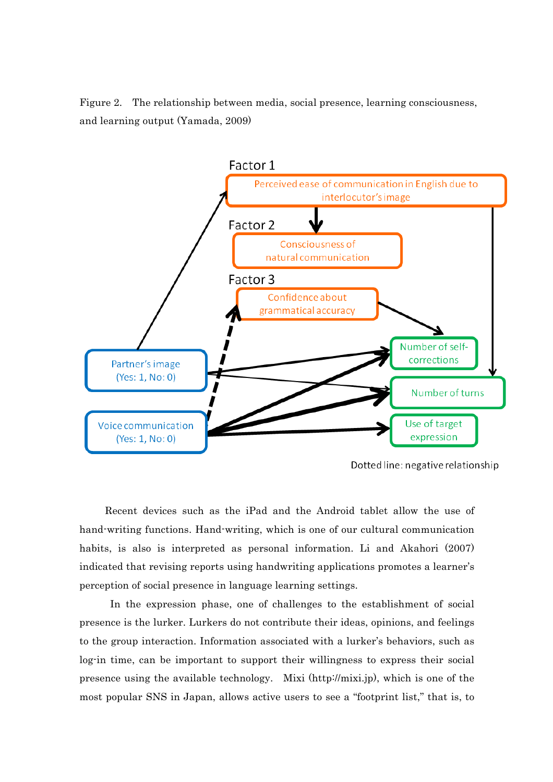Figure 2. The relationship between media, social presence, learning consciousness, and learning output (Yamada, 2009)



Dotted line: negative relationship

Recent devices such as the iPad and the Android tablet allow the use of hand-writing functions. Hand-writing, which is one of our cultural communication habits, is also is interpreted as personal information. Li and Akahori (2007) indicated that revising reports using handwriting applications promotes a learner's perception of social presence in language learning settings.

In the expression phase, one of challenges to the establishment of social presence is the lurker. Lurkers do not contribute their ideas, opinions, and feelings to the group interaction. Information associated with a lurker's behaviors, such as log-in time, can be important to support their willingness to express their social presence using the available technology. Mixi (http://mixi.jp), which is one of the most popular SNS in Japan, allows active users to see a "footprint list," that is, to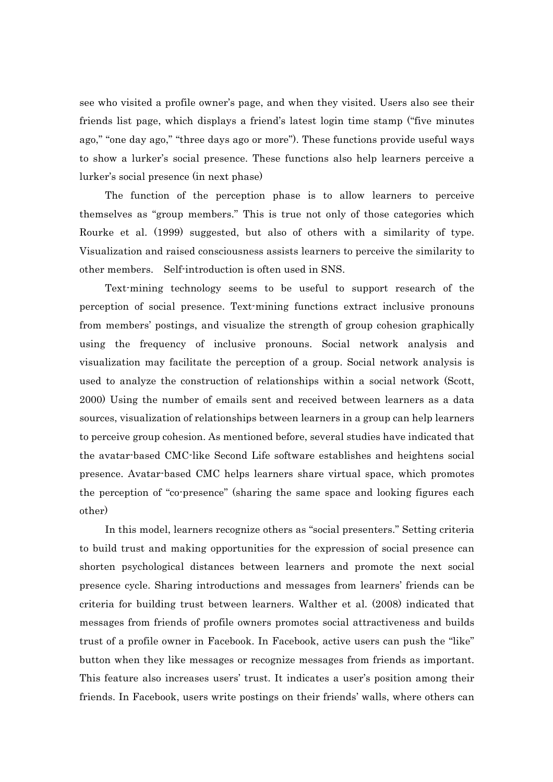see who visited a profile owner's page, and when they visited. Users also see their friends list page, which displays a friend's latest login time stamp ("five minutes ago," "one day ago," "three days ago or more"). These functions provide useful ways to show a lurker's social presence. These functions also help learners perceive a lurker's social presence (in next phase)

The function of the perception phase is to allow learners to perceive themselves as "group members." This is true not only of those categories which Rourke et al. (1999) suggested, but also of others with a similarity of type. Visualization and raised consciousness assists learners to perceive the similarity to other members. Self-introduction is often used in SNS.

Text-mining technology seems to be useful to support research of the perception of social presence. Text-mining functions extract inclusive pronouns from members' postings, and visualize the strength of group cohesion graphically using the frequency of inclusive pronouns. Social network analysis and visualization may facilitate the perception of a group. Social network analysis is used to analyze the construction of relationships within a social network (Scott, 2000) Using the number of emails sent and received between learners as a data sources, visualization of relationships between learners in a group can help learners to perceive group cohesion. As mentioned before, several studies have indicated that the avatar-based CMC-like Second Life software establishes and heightens social presence. Avatar-based CMC helps learners share virtual space, which promotes the perception of "co-presence" (sharing the same space and looking figures each other)

In this model, learners recognize others as "social presenters." Setting criteria to build trust and making opportunities for the expression of social presence can shorten psychological distances between learners and promote the next social presence cycle. Sharing introductions and messages from learners' friends can be criteria for building trust between learners. Walther et al. (2008) indicated that messages from friends of profile owners promotes social attractiveness and builds trust of a profile owner in Facebook. In Facebook, active users can push the "like" button when they like messages or recognize messages from friends as important. This feature also increases users' trust. It indicates a user's position among their friends. In Facebook, users write postings on their friends' walls, where others can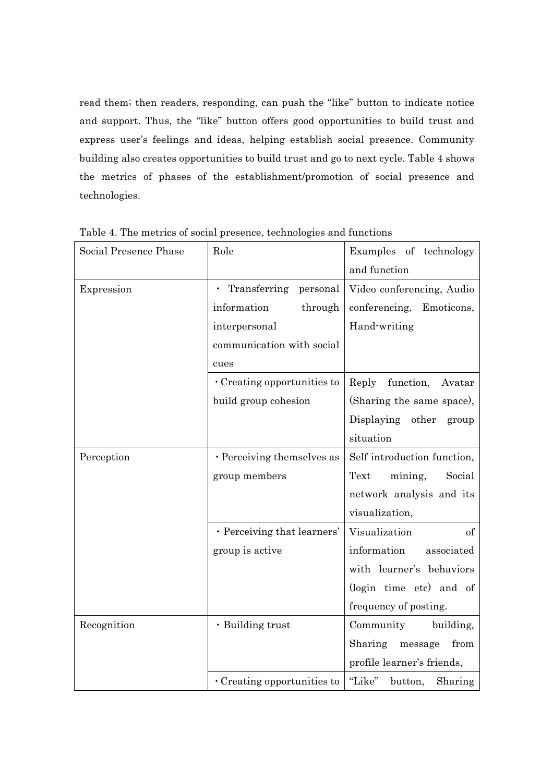read them; then readers, responding, can push the "like" button to indicate notice and support. Thus, the "like" button offers good opportunities to build trust and express user's feelings and ideas, helping establish social presence. Community building also creates opportunities to build trust and go to next cycle. Table 4 shows the metrics of phases of the establishment/promotion of social presence and technologies.

| Social Presence Phase | Role                              | Examples of technology       |  |  |
|-----------------------|-----------------------------------|------------------------------|--|--|
|                       |                                   | and function                 |  |  |
| Expression            | Transferring<br>personal          | Video conferencing, Audio    |  |  |
|                       | information<br>through            | conferencing,<br>Emoticons,  |  |  |
|                       | interpersonal                     | Hand-writing                 |  |  |
|                       | communication with social         |                              |  |  |
|                       | cues                              |                              |  |  |
|                       | Creating opportunities to         | function,<br>Reply<br>Avatar |  |  |
|                       | build group cohesion              | (Sharing the same space),    |  |  |
|                       |                                   | Displaying other<br>group    |  |  |
|                       |                                   | situation                    |  |  |
| Perception            | · Perceiving themselves as        | Self introduction function,  |  |  |
|                       | group members                     | Text<br>mining,<br>Social    |  |  |
|                       |                                   | network analysis and its     |  |  |
|                       |                                   | visualization,               |  |  |
|                       | · Perceiving that learners'       | Visualization<br>of          |  |  |
|                       | group is active                   | information<br>associated    |  |  |
|                       |                                   | with learner's behaviors     |  |  |
|                       |                                   | (login time etc) and of      |  |  |
|                       |                                   | frequency of posting.        |  |  |
| Recognition           | · Building trust                  | Community<br>building,       |  |  |
|                       |                                   | Sharing<br>from<br>message   |  |  |
|                       |                                   | profile learner's friends,   |  |  |
|                       | $\cdot$ Creating opportunities to | "Like"<br>Sharing<br>button, |  |  |

Table 4. The metrics of social presence, technologies and functions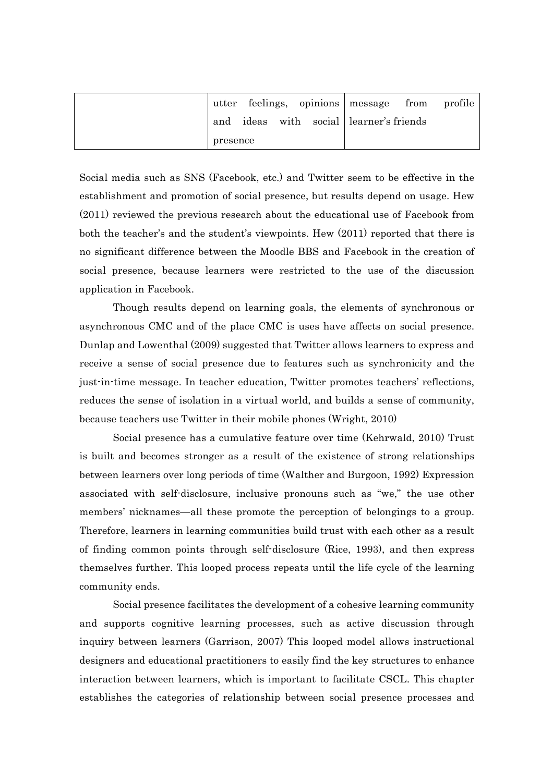|          |  | utter feelings, opinions message from profile |  |
|----------|--|-----------------------------------------------|--|
|          |  | and ideas with social learner's friends       |  |
| presence |  |                                               |  |

Social media such as SNS (Facebook, etc.) and Twitter seem to be effective in the establishment and promotion of social presence, but results depend on usage. Hew (2011) reviewed the previous research about the educational use of Facebook from both the teacher's and the student's viewpoints. Hew (2011) reported that there is no significant difference between the Moodle BBS and Facebook in the creation of social presence, because learners were restricted to the use of the discussion application in Facebook.

Though results depend on learning goals, the elements of synchronous or asynchronous CMC and of the place CMC is uses have affects on social presence. Dunlap and Lowenthal (2009) suggested that Twitter allows learners to express and receive a sense of social presence due to features such as synchronicity and the just-in-time message. In teacher education, Twitter promotes teachers' reflections, reduces the sense of isolation in a virtual world, and builds a sense of community, because teachers use Twitter in their mobile phones (Wright, 2010)

Social presence has a cumulative feature over time (Kehrwald, 2010) Trust is built and becomes stronger as a result of the existence of strong relationships between learners over long periods of time (Walther and Burgoon, 1992) Expression associated with self-disclosure, inclusive pronouns such as "we," the use other members' nicknames—all these promote the perception of belongings to a group. Therefore, learners in learning communities build trust with each other as a result of finding common points through self-disclosure (Rice, 1993), and then express themselves further. This looped process repeats until the life cycle of the learning community ends.

Social presence facilitates the development of a cohesive learning community and supports cognitive learning processes, such as active discussion through inquiry between learners (Garrison, 2007) This looped model allows instructional designers and educational practitioners to easily find the key structures to enhance interaction between learners, which is important to facilitate CSCL. This chapter establishes the categories of relationship between social presence processes and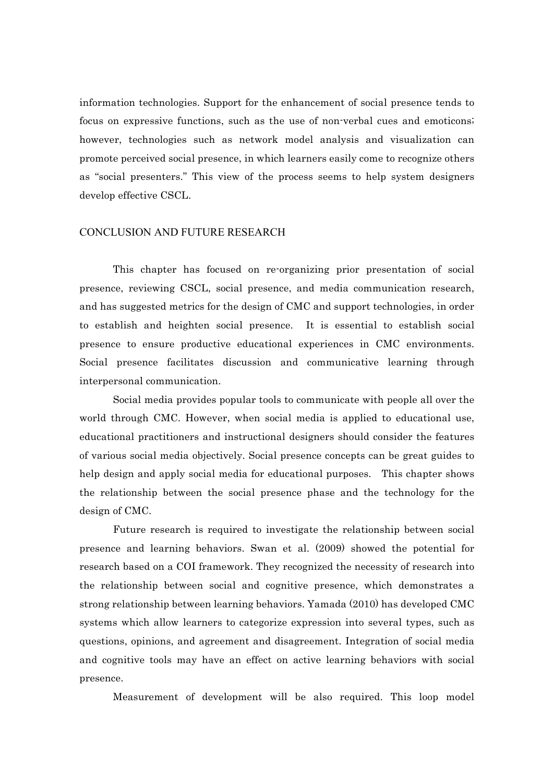information technologies. Support for the enhancement of social presence tends to focus on expressive functions, such as the use of non-verbal cues and emoticons; however, technologies such as network model analysis and visualization can promote perceived social presence, in which learners easily come to recognize others as "social presenters." This view of the process seems to help system designers develop effective CSCL.

#### CONCLUSION AND FUTURE RESEARCH

This chapter has focused on re-organizing prior presentation of social presence, reviewing CSCL, social presence, and media communication research, and has suggested metrics for the design of CMC and support technologies, in order to establish and heighten social presence. It is essential to establish social presence to ensure productive educational experiences in CMC environments. Social presence facilitates discussion and communicative learning through interpersonal communication.

Social media provides popular tools to communicate with people all over the world through CMC. However, when social media is applied to educational use, educational practitioners and instructional designers should consider the features of various social media objectively. Social presence concepts can be great guides to help design and apply social media for educational purposes. This chapter shows the relationship between the social presence phase and the technology for the design of CMC.

Future research is required to investigate the relationship between social presence and learning behaviors. Swan et al. (2009) showed the potential for research based on a COI framework. They recognized the necessity of research into the relationship between social and cognitive presence, which demonstrates a strong relationship between learning behaviors. Yamada (2010) has developed CMC systems which allow learners to categorize expression into several types, such as questions, opinions, and agreement and disagreement. Integration of social media and cognitive tools may have an effect on active learning behaviors with social presence.

Measurement of development will be also required. This loop model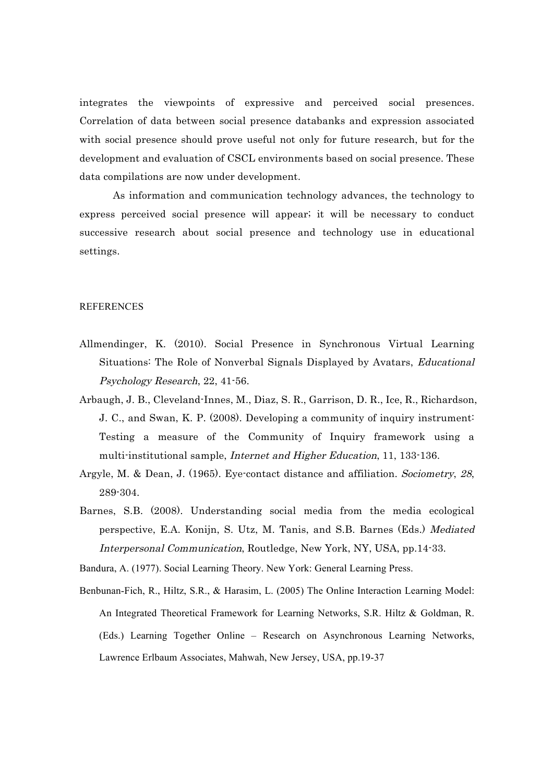integrates the viewpoints of expressive and perceived social presences. Correlation of data between social presence databanks and expression associated with social presence should prove useful not only for future research, but for the development and evaluation of CSCL environments based on social presence. These data compilations are now under development.

As information and communication technology advances, the technology to express perceived social presence will appear; it will be necessary to conduct successive research about social presence and technology use in educational settings.

#### REFERENCES

- Allmendinger, K. (2010). Social Presence in Synchronous Virtual Learning Situations: The Role of Nonverbal Signals Displayed by Avatars, Educational Psychology Research, 22, 41-56.
- Arbaugh, J. B., Cleveland-Innes, M., Diaz, S. R., Garrison, D. R., Ice, R., Richardson, J. C., and Swan, K. P. (2008). Developing a community of inquiry instrument: Testing a measure of the Community of Inquiry framework using a multi-institutional sample, *Internet and Higher Education*, 11, 133-136.
- Argyle, M. & Dean, J. (1965). Eye-contact distance and affiliation. Sociometry, 28, 289-304.
- Barnes, S.B. (2008). Understanding social media from the media ecological perspective, E.A. Konijn, S. Utz, M. Tanis, and S.B. Barnes (Eds.) Mediated Interpersonal Communication, Routledge, New York, NY, USA, pp.14-33.

Bandura, A. (1977). Social Learning Theory. New York: General Learning Press.

Benbunan-Fich, R., Hiltz, S.R., & Harasim, L. (2005) The Online Interaction Learning Model: An Integrated Theoretical Framework for Learning Networks, S.R. Hiltz & Goldman, R. (Eds.) Learning Together Online – Research on Asynchronous Learning Networks, Lawrence Erlbaum Associates, Mahwah, New Jersey, USA, pp.19-37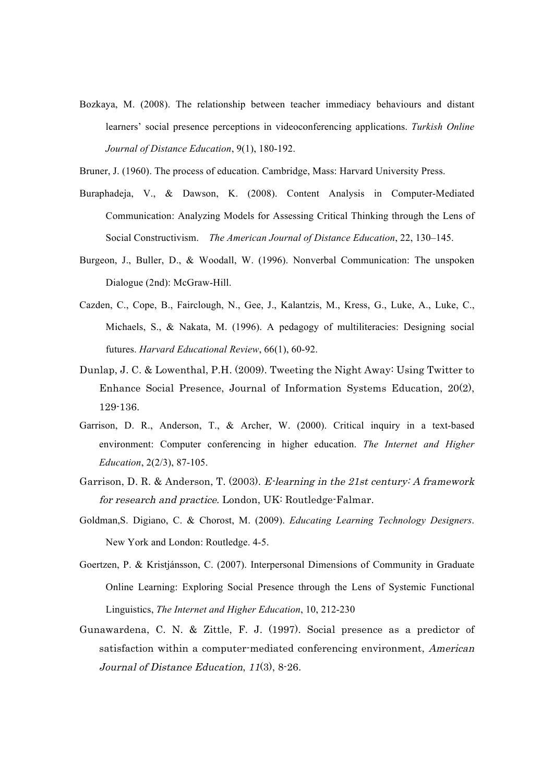Bozkaya, M. (2008). The relationship between teacher immediacy behaviours and distant learners' social presence perceptions in videoconferencing applications. *Turkish Online Journal of Distance Education*, 9(1), 180-192.

Bruner, J. (1960). The process of education. Cambridge, Mass: Harvard University Press.

- Buraphadeja, V., & Dawson, K. (2008). Content Analysis in Computer-Mediated Communication: Analyzing Models for Assessing Critical Thinking through the Lens of Social Constructivism. *The American Journal of Distance Education*, 22, 130–145.
- Burgeon, J., Buller, D., & Woodall, W. (1996). Nonverbal Communication: The unspoken Dialogue (2nd): McGraw-Hill.
- Cazden, C., Cope, B., Fairclough, N., Gee, J., Kalantzis, M., Kress, G., Luke, A., Luke, C., Michaels, S., & Nakata, M. (1996). A pedagogy of multiliteracies: Designing social futures. *Harvard Educational Review*, 66(1), 60-92.
- Dunlap, J. C. & Lowenthal, P.H. (2009). Tweeting the Night Away: Using Twitter to Enhance Social Presence, Journal of Information Systems Education, 20(2), 129-136.
- Garrison, D. R., Anderson, T., & Archer, W. (2000). Critical inquiry in a text-based environment: Computer conferencing in higher education. *The Internet and Higher Education*, 2(2/3), 87-105.
- Garrison, D. R. & Anderson, T. (2003). E-learning in the 21st century: A framework for research and practice. London, UK: Routledge-Falmar.
- Goldman,S. Digiano, C. & Chorost, M. (2009). *Educating Learning Technology Designers*. New York and London: Routledge. 4-5.
- Goertzen, P. & Kristjánsson, C. (2007). Interpersonal Dimensions of Community in Graduate Online Learning: Exploring Social Presence through the Lens of Systemic Functional Linguistics, *The Internet and Higher Education*, 10, 212-230
- Gunawardena, C. N. & Zittle, F. J. (1997). Social presence as a predictor of satisfaction within a computer-mediated conferencing environment, *American* Journal of Distance Education, 11(3), 8-26.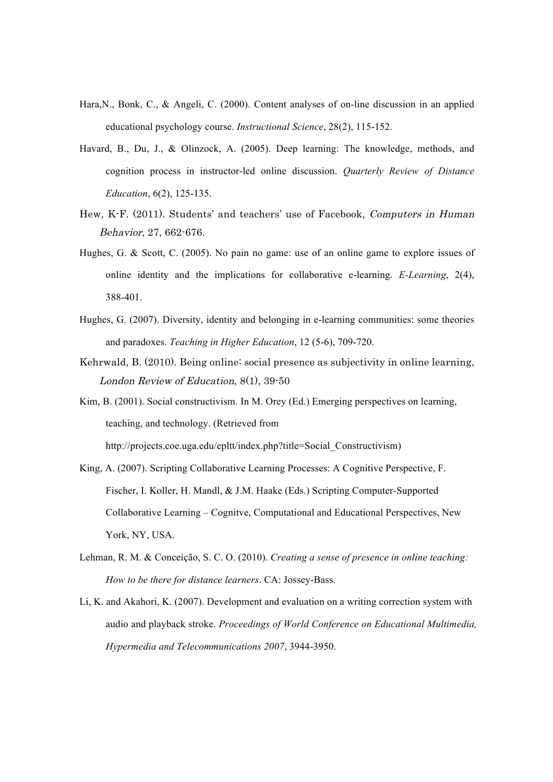- Hara,N., Bonk, C., & Angeli, C. (2000). Content analyses of on-line discussion in an applied educational psychology course. *Instructional Science*, 28(2), 115-152.
- Havard, B., Du, J., & Olinzock, A. (2005). Deep learning: The knowledge, methods, and cognition process in instructor-led online discussion. *Quarterly Review of Distance Education*, 6(2), 125-135.
- Hew, K-F. (2011). Students' and teachers' use of Facebook, Computers in Human Behavior, 27, 662-676.
- Hughes, G. & Scott, C. (2005). No pain no game: use of an online game to explore issues of online identity and the implications for collaborative e-learning. *E-Learning*, 2(4), 388-401.
- Hughes, G. (2007). Diversity, identity and belonging in e-learning communities: some theories and paradoxes. *Teaching in Higher Education*, 12 (5-6), 709-720.
- Kehrwald, B. (2010). Being online: social presence as subjectivity in online learning, London Review of Education, 8(1), 39-50
- Kim, B. (2001). Social constructivism. In M. Orey (Ed.) Emerging perspectives on learning, teaching, and technology. (Retrieved from http://projects.coe.uga.edu/epltt/index.php?title=Social\_Constructivism)
- King, A. (2007). Scripting Collaborative Learning Processes: A Cognitive Perspective, F. Fischer, I. Koller, H. Mandl, & J.M. Haake (Eds.) Scripting Computer-Supported Collaborative Learning – Cognitve, Computational and Educational Perspectives, New York, NY, USA.
- Lehman, R. M. & Conceição, S. C. O. (2010). *Creating a sense of presence in online teaching: How to be there for distance learners*. CA: Jossey-Bass.
- Li, K. and Akahori, K. (2007). Development and evaluation on a writing correction system with audio and playback stroke. *Proceedings of World Conference on Educational Multimedia, Hypermedia and Telecommunications 2007*, 3944-3950.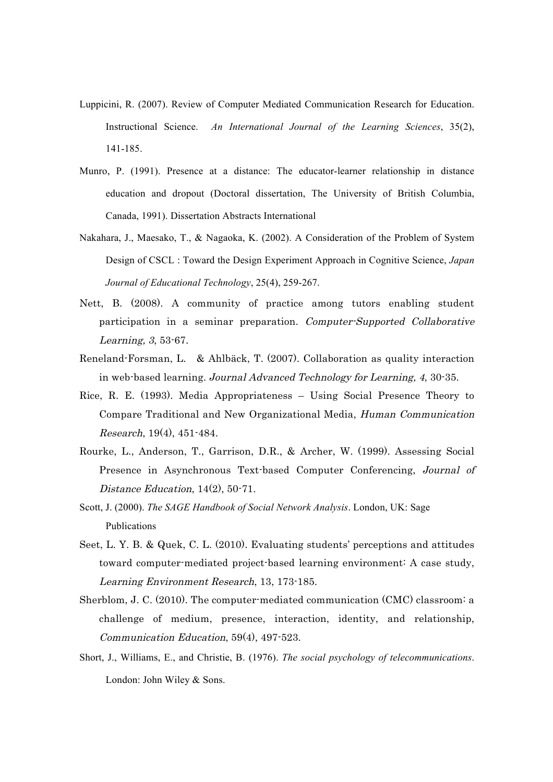- Luppicini, R. (2007). Review of Computer Mediated Communication Research for Education. Instructional Science. *An International Journal of the Learning Sciences*, 35(2), 141-185.
- Munro, P. (1991). Presence at a distance: The educator-learner relationship in distance education and dropout (Doctoral dissertation, The University of British Columbia, Canada, 1991). Dissertation Abstracts International
- Nakahara, J., Maesako, T., & Nagaoka, K. (2002). A Consideration of the Problem of System Design of CSCL : Toward the Design Experiment Approach in Cognitive Science, *Japan Journal of Educational Technology*, 25(4), 259-267.
- Nett, B. (2008). A community of practice among tutors enabling student participation in a seminar preparation. Computer-Supported Collaborative Learning, 3, 53-67.
- Reneland-Forsman, L. & Ahlbäck, T. (2007). Collaboration as quality interaction in web-based learning. Journal Advanced Technology for Learning, 4, 30-35.
- Rice, R. E. (1993). Media Appropriateness Using Social Presence Theory to Compare Traditional and New Organizational Media, Human Communication Research, 19(4), 451-484.
- Rourke, L., Anderson, T., Garrison, D.R., & Archer, W. (1999). Assessing Social Presence in Asynchronous Text-based Computer Conferencing, Journal of Distance Education, 14(2), 50-71.
- Scott, J. (2000). *The SAGE Handbook of Social Network Analysis*. London, UK: Sage Publications
- Seet, L. Y. B. & Quek, C. L. (2010). Evaluating students' perceptions and attitudes toward computer-mediated project-based learning environment: A case study, Learning Environment Research, 13, 173-185.
- Sherblom, J. C. (2010). The computer-mediated communication (CMC) classroom: a challenge of medium, presence, interaction, identity, and relationship, Communication Education, 59(4), 497-523.
- Short, J., Williams, E., and Christie, B. (1976). *The social psychology of telecommunications*. London: John Wiley & Sons.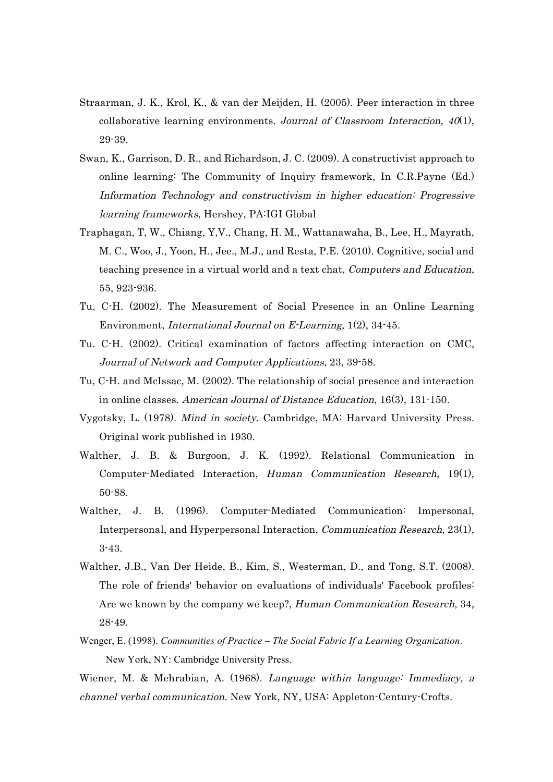- Straarman, J. K., Krol, K., & van der Meijden, H. (2005). Peer interaction in three collaborative learning environments. Journal of Classroom Interaction,  $40(1)$ , 29-39.
- Swan, K., Garrison, D. R., and Richardson, J. C. (2009). A constructivist approach to online learning: The Community of Inquiry framework, In C.R.Payne (Ed.) Information Technology and constructivism in higher education: Progressive learning frameworks, Hershey, PA:IGI Global
- Traphagan, T, W., Chiang, Y,V., Chang, H. M., Wattanawaha, B., Lee, H., Mayrath, M. C., Woo, J., Yoon, H., Jee., M.J., and Resta, P.E. (2010). Cognitive, social and teaching presence in a virtual world and a text chat, *Computers and Education*, 55, 923-936.
- Tu, C-H. (2002). The Measurement of Social Presence in an Online Learning Environment, International Journal on E-Learning, 1(2), 34-45.
- Tu. C-H. (2002). Critical examination of factors affecting interaction on CMC, Journal of Network and Computer Applications, 23, 39-58.
- Tu, C-H. and McIssac, M. (2002). The relationship of social presence and interaction in online classes. American Journal of Distance Education, 16(3), 131-150.
- Vygotsky, L. (1978). Mind in society. Cambridge, MA: Harvard University Press. Original work published in 1930.
- Walther, J. B. & Burgoon, J. K. (1992). Relational Communication in Computer-Mediated Interaction, Human Communication Research, 19(1), 50-88.
- Walther, J. B. (1996). Computer-Mediated Communication: Impersonal, Interpersonal, and Hyperpersonal Interaction, Communication Research, 23(1), 3-43.
- Walther, J.B., Van Der Heide, B., Kim, S., Westerman, D., and Tong, S.T. (2008). The role of friends' behavior on evaluations of individuals' Facebook profiles: Are we known by the company we keep?, Human Communication Research, 34, 28-49.
- Wenger, E. (1998). *Communities of Practice – The Social Fabric If a Learning Organization*. New York, NY: Cambridge University Press.
- Wiener, M. & Mehrabian, A. (1968). *Language within language: Immediacy*, a channel verbal communication. New York, NY, USA: Appleton-Century-Crofts.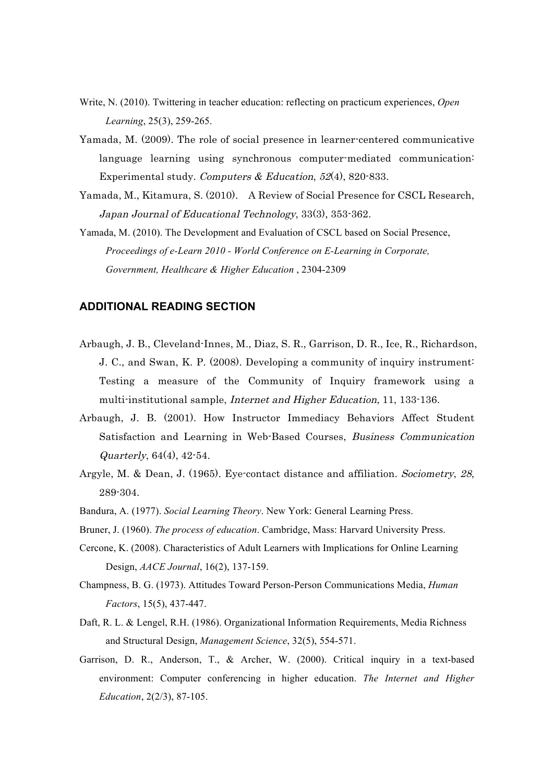- Write, N. (2010). Twittering in teacher education: reflecting on practicum experiences, *Open Learning*, 25(3), 259-265.
- Yamada, M. (2009). The role of social presence in learner-centered communicative language learning using synchronous computer-mediated communication: Experimental study. Computers & Education, 52(4), 820-833.
- Yamada, M., Kitamura, S. (2010). A Review of Social Presence for CSCL Research, Japan Journal of Educational Technology, 33(3), 353-362.
- Yamada, M. (2010). The Development and Evaluation of CSCL based on Social Presence, *Proceedings of e-Learn 2010 - World Conference on E-Learning in Corporate, Government, Healthcare & Higher Education* , 2304-2309

## **ADDITIONAL READING SECTION**

- Arbaugh, J. B., Cleveland-Innes, M., Diaz, S. R., Garrison, D. R., Ice, R., Richardson, J. C., and Swan, K. P. (2008). Developing a community of inquiry instrument: Testing a measure of the Community of Inquiry framework using a multi-institutional sample, *Internet and Higher Education*, 11, 133-136.
- Arbaugh, J. B. (2001). How Instructor Immediacy Behaviors Affect Student Satisfaction and Learning in Web-Based Courses, Business Communication Quarterly, 64(4), 42-54.
- Argyle, M. & Dean, J. (1965). Eye-contact distance and affiliation. Sociometry, 28, 289-304.
- Bandura, A. (1977). *Social Learning Theory*. New York: General Learning Press.
- Bruner, J. (1960). *The process of education*. Cambridge, Mass: Harvard University Press.
- Cercone, K. (2008). Characteristics of Adult Learners with Implications for Online Learning Design, *AACE Journal*, 16(2), 137-159.
- Champness, B. G. (1973). Attitudes Toward Person-Person Communications Media, *Human Factors*, 15(5), 437-447.
- Daft, R. L. & Lengel, R.H. (1986). Organizational Information Requirements, Media Richness and Structural Design, *Management Science*, 32(5), 554-571.
- Garrison, D. R., Anderson, T., & Archer, W. (2000). Critical inquiry in a text-based environment: Computer conferencing in higher education. *The Internet and Higher Education*, 2(2/3), 87-105.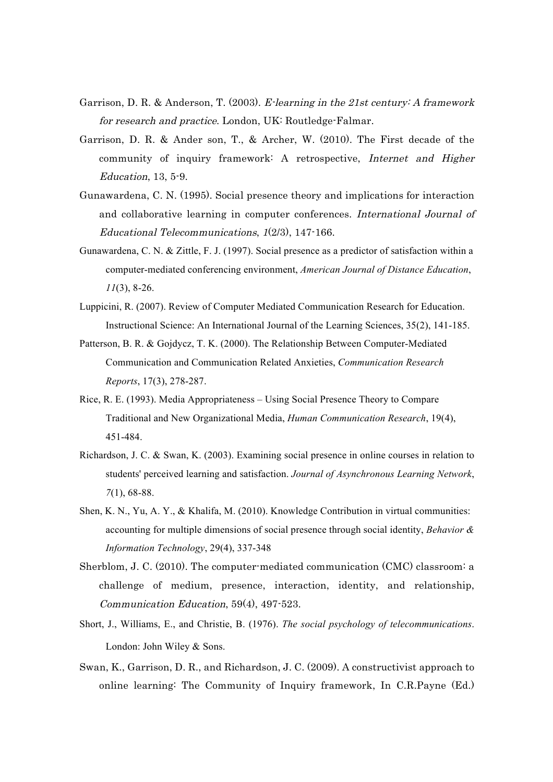- Garrison, D. R. & Anderson, T. (2003). E-learning in the 21st century: A framework for research and practice. London, UK: Routledge-Falmar.
- Garrison, D. R. & Ander son, T., & Archer, W. (2010). The First decade of the community of inquiry framework: A retrospective, Internet and Higher Education, 13, 5-9.
- Gunawardena, C. N. (1995). Social presence theory and implications for interaction and collaborative learning in computer conferences. International Journal of Educational Telecommunications, 1(2/3), 147-166.
- Gunawardena, C. N. & Zittle, F. J. (1997). Social presence as a predictor of satisfaction within a computer-mediated conferencing environment, *American Journal of Distance Education*, *11*(3), 8-26.
- Luppicini, R. (2007). Review of Computer Mediated Communication Research for Education. Instructional Science: An International Journal of the Learning Sciences, 35(2), 141-185.
- Patterson, B. R. & Gojdycz, T. K. (2000). The Relationship Between Computer-Mediated Communication and Communication Related Anxieties, *Communication Research Reports*, 17(3), 278-287.
- Rice, R. E. (1993). Media Appropriateness Using Social Presence Theory to Compare Traditional and New Organizational Media, *Human Communication Research*, 19(4), 451-484.
- Richardson, J. C. & Swan, K. (2003). Examining social presence in online courses in relation to students' perceived learning and satisfaction. *Journal of Asynchronous Learning Network*, *7*(1), 68-88.
- Shen, K. N., Yu, A. Y., & Khalifa, M. (2010). Knowledge Contribution in virtual communities: accounting for multiple dimensions of social presence through social identity, *Behavior & Information Technology*, 29(4), 337-348
- Sherblom, J. C. (2010). The computer-mediated communication (CMC) classroom: a challenge of medium, presence, interaction, identity, and relationship, Communication Education, 59(4), 497-523.
- Short, J., Williams, E., and Christie, B. (1976). *The social psychology of telecommunications*. London: John Wiley & Sons.
- Swan, K., Garrison, D. R., and Richardson, J. C. (2009). A constructivist approach to online learning: The Community of Inquiry framework, In C.R.Payne (Ed.)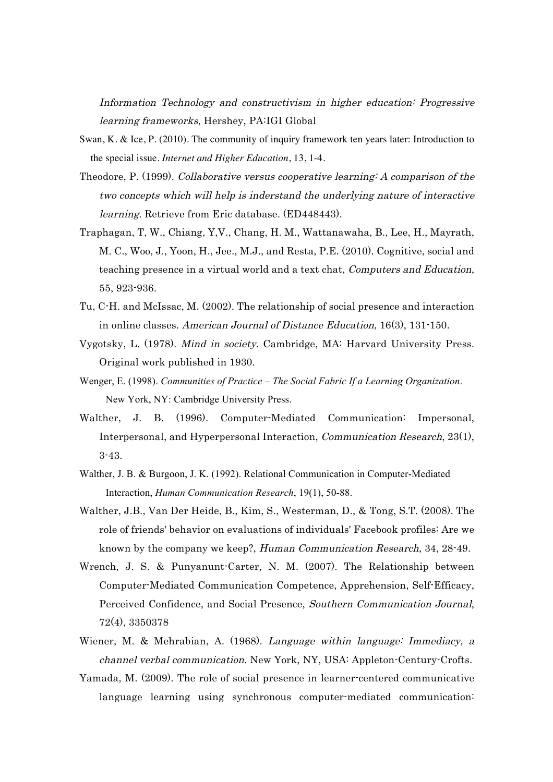Information Technology and constructivism in higher education: Progressive learning frameworks, Hershey, PA:IGI Global

- Swan, K. & Ice, P. (2010). The community of inquiry framework ten years later: Introduction to the special issue. *Internet and Higher Education*, 13, 1-4.
- Theodore, P. (1999). Collaborative versus cooperative learning: A comparison of the two concepts which will help is inderstand the underlying nature of interactive learning. Retrieve from Eric database. (ED448443).
- Traphagan, T, W., Chiang, Y,V., Chang, H. M., Wattanawaha, B., Lee, H., Mayrath, M. C., Woo, J., Yoon, H., Jee., M.J., and Resta, P.E. (2010). Cognitive, social and teaching presence in a virtual world and a text chat, Computers and Education, 55, 923-936.
- Tu, C-H. and McIssac, M. (2002). The relationship of social presence and interaction in online classes. American Journal of Distance Education, 16(3), 131-150.
- Vygotsky, L. (1978). Mind in society. Cambridge, MA: Harvard University Press. Original work published in 1930.
- Wenger, E. (1998). *Communities of Practice – The Social Fabric If a Learning Organization*. New York, NY: Cambridge University Press.
- Walther, J. B. (1996). Computer-Mediated Communication: Impersonal, Interpersonal, and Hyperpersonal Interaction, Communication Research, 23(1), 3-43.
- Walther, J. B. & Burgoon, J. K. (1992). Relational Communication in Computer-Mediated Interaction, *Human Communication Research*, 19(1), 50-88.
- Walther, J.B., Van Der Heide, B., Kim, S., Westerman, D., & Tong, S.T. (2008). The role of friends' behavior on evaluations of individuals' Facebook profiles: Are we known by the company we keep?, Human Communication Research, 34, 28-49.
- Wrench, J. S. & Punyanunt-Carter, N. M. (2007). The Relationship between Computer-Mediated Communication Competence, Apprehension, Self-Efficacy, Perceived Confidence, and Social Presence, Southern Communication Journal, 72(4), 3350378
- Wiener, M. & Mehrabian, A. (1968). Language within language: Immediacy, a channel verbal communication. New York, NY, USA: Appleton-Century-Crofts.
- Yamada, M. (2009). The role of social presence in learner-centered communicative language learning using synchronous computer-mediated communication: